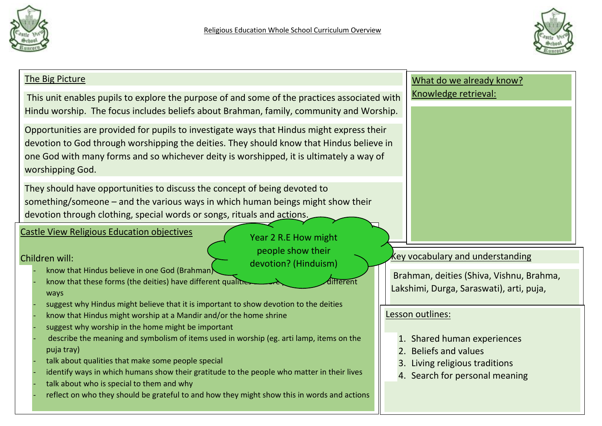



| The Big Picture                                                                                                                                                                                                                                                                                                                                                                                                                                                                                                                   | What do we already know?                                                                                                                     |
|-----------------------------------------------------------------------------------------------------------------------------------------------------------------------------------------------------------------------------------------------------------------------------------------------------------------------------------------------------------------------------------------------------------------------------------------------------------------------------------------------------------------------------------|----------------------------------------------------------------------------------------------------------------------------------------------|
| This unit enables pupils to explore the purpose of and some of the practices associated with<br>Hindu worship. The focus includes beliefs about Brahman, family, community and Worship.                                                                                                                                                                                                                                                                                                                                           | Knowledge retrieval:                                                                                                                         |
| Opportunities are provided for pupils to investigate ways that Hindus might express their<br>devotion to God through worshipping the deities. They should know that Hindus believe in<br>one God with many forms and so whichever deity is worshipped, it is ultimately a way of<br>worshipping God.                                                                                                                                                                                                                              |                                                                                                                                              |
| They should have opportunities to discuss the concept of being devoted to<br>something/someone – and the various ways in which human beings might show their<br>devotion through clothing, special words or songs, rituals and actions.                                                                                                                                                                                                                                                                                           |                                                                                                                                              |
| <b>Castle View Religious Education objectives</b><br>Year 2 R.E How might                                                                                                                                                                                                                                                                                                                                                                                                                                                         |                                                                                                                                              |
| people show their<br>Children will:<br>devotion? (Hinduism)<br>know that Hindus believe in one God (Brahman)<br>know that these forms (the deities) have different qualities<br>different<br>ways<br>suggest why Hindus might believe that it is important to show devotion to the deities                                                                                                                                                                                                                                        | key vocabulary and understanding<br>Brahman, deities (Shiva, Vishnu, Brahma,<br>Lakshimi, Durga, Saraswati), arti, puja,                     |
| know that Hindus might worship at a Mandir and/or the home shrine<br>suggest why worship in the home might be important<br>describe the meaning and symbolism of items used in worship (eg. arti lamp, items on the<br>puja tray)<br>talk about qualities that make some people special<br>identify ways in which humans show their gratitude to the people who matter in their lives<br>talk about who is special to them and why<br>reflect on who they should be grateful to and how they might show this in words and actions | Lesson outlines:<br>1. Shared human experiences<br>2. Beliefs and values<br>3. Living religious traditions<br>4. Search for personal meaning |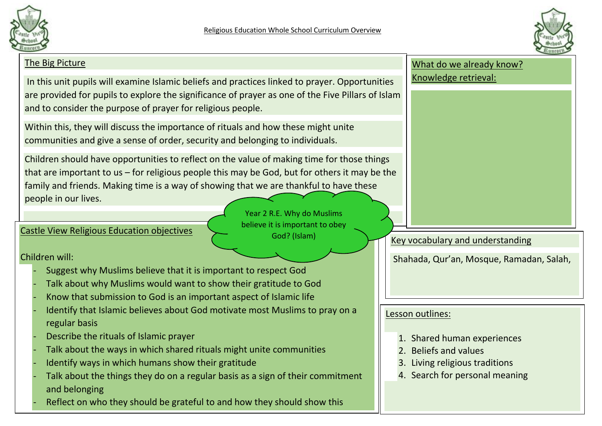



## The Big Picture In this unit pupils will examine Islamic beliefs and practices linked to prayer. Opportunities are provided for pupils to explore the significance of prayer as one of the Five Pillars of Islam and to consider the purpose of prayer for religious people. Within this, they will discuss the importance of rituals and how these might unite communities and give a sense of order, security and belonging to individuals. Children should have opportunities to reflect on the value of making time for those things that are important to us – for religious people this may be God, but for others it may be the family and friends. Making time is a way of showing that we are thankful to have these people in our lives. What do we already know? Knowledge retrieval: Key vocabulary and understanding Shahada, Qur'an, Mosque, Ramadan, Salah, Castle View Religious Education objectives Children will: - Suggest why Muslims believe that it is important to respect God Talk about why Muslims would want to show their gratitude to God Know that submission to God is an important aspect of Islamic life Identify that Islamic believes about God motivate most Muslims to pray on a regular basis - Describe the rituals of Islamic prayer Talk about the ways in which shared rituals might unite communities Identify ways in which humans show their gratitude Talk about the things they do on a regular basis as a sign of their commitment and belonging Reflect on who they should be grateful to and how they should show this Lesson outlines: 1. Shared human experiences 2. Beliefs and values 3. Living religious traditions 4. Search for personal meaning Year 2 R.E. Why do Muslims believe it is important to obey God? (Islam)